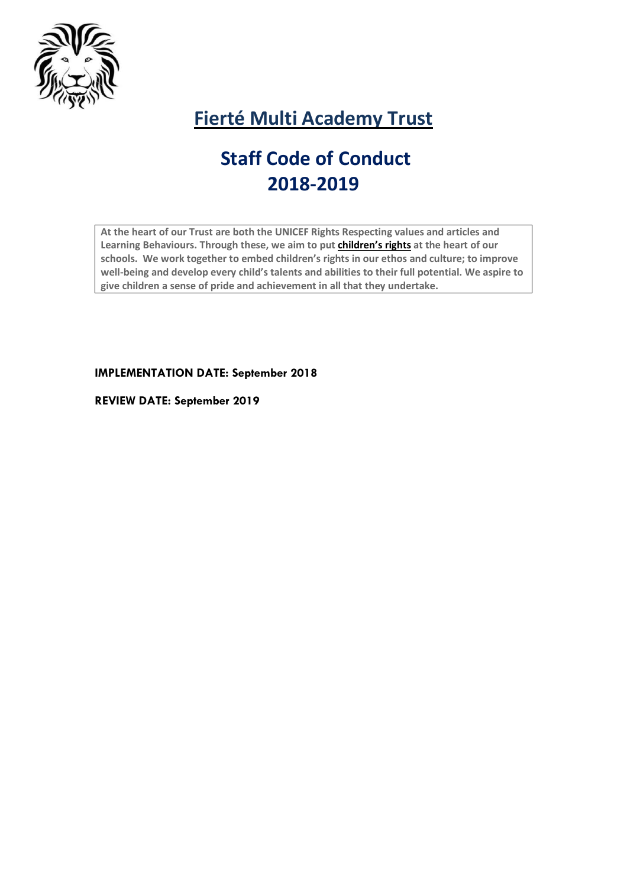

# **Fierté Multi Academy Trust**

# **Staff Code of Conduct 2018-2019**

**At the heart of our Trust are both the UNICEF Rights Respecting values and articles and Learning Behaviours. Through these, we aim to put [children's](http://www.unicef.org.uk/rights-respecting-schools/about-the-award/child-rights-in-schools/) rights at the heart of our schools. We work together to embed children's rights in our ethos and culture; to improve well-being and develop every child's talents and abilities to their full potential. We aspire to give children a sense of pride and achievement in all that they undertake.**

**IMPLEMENTATION DATE: September 2018**

**REVIEW DATE: September 2019**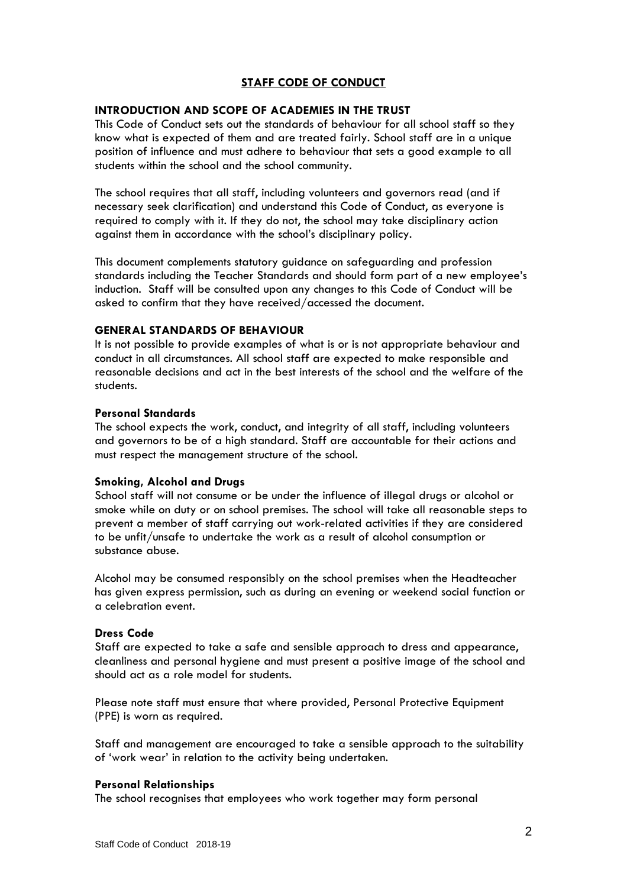# **STAFF CODE OF CONDUCT**

# **INTRODUCTION AND SCOPE OF ACADEMIES IN THE TRUST**

This Code of Conduct sets out the standards of behaviour for all school staff so they know what is expected of them and are treated fairly. School staff are in a unique position of influence and must adhere to behaviour that sets a good example to all students within the school and the school community.

The school requires that all staff, including volunteers and governors read (and if necessary seek clarification) and understand this Code of Conduct, as everyone is required to comply with it. If they do not, the school may take disciplinary action against them in accordance with the school's disciplinary policy.

This document complements statutory guidance on safeguarding and profession standards including the Teacher Standards and should form part of a new employee's induction. Staff will be consulted upon any changes to this Code of Conduct will be asked to confirm that they have received/accessed the document.

#### **GENERAL STANDARDS OF BEHAVIOUR**

It is not possible to provide examples of what is or is not appropriate behaviour and conduct in all circumstances. All school staff are expected to make responsible and reasonable decisions and act in the best interests of the school and the welfare of the students.

#### **Personal Standards**

The school expects the work, conduct, and integrity of all staff, including volunteers and governors to be of a high standard. Staff are accountable for their actions and must respect the management structure of the school.

# **Smoking, Alcohol and Drugs**

School staff will not consume or be under the influence of illegal drugs or alcohol or smoke while on duty or on school premises. The school will take all reasonable steps to prevent a member of staff carrying out work-related activities if they are considered to be unfit/unsafe to undertake the work as a result of alcohol consumption or substance abuse.

Alcohol may be consumed responsibly on the school premises when the Headteacher has given express permission, such as during an evening or weekend social function or a celebration event.

#### **Dress Code**

Staff are expected to take a safe and sensible approach to dress and appearance, cleanliness and personal hygiene and must present a positive image of the school and should act as a role model for students.

Please note staff must ensure that where provided, Personal Protective Equipment (PPE) is worn as required.

Staff and management are encouraged to take a sensible approach to the suitability of 'work wear' in relation to the activity being undertaken.

# **Personal Relationships**

The school recognises that employees who work together may form personal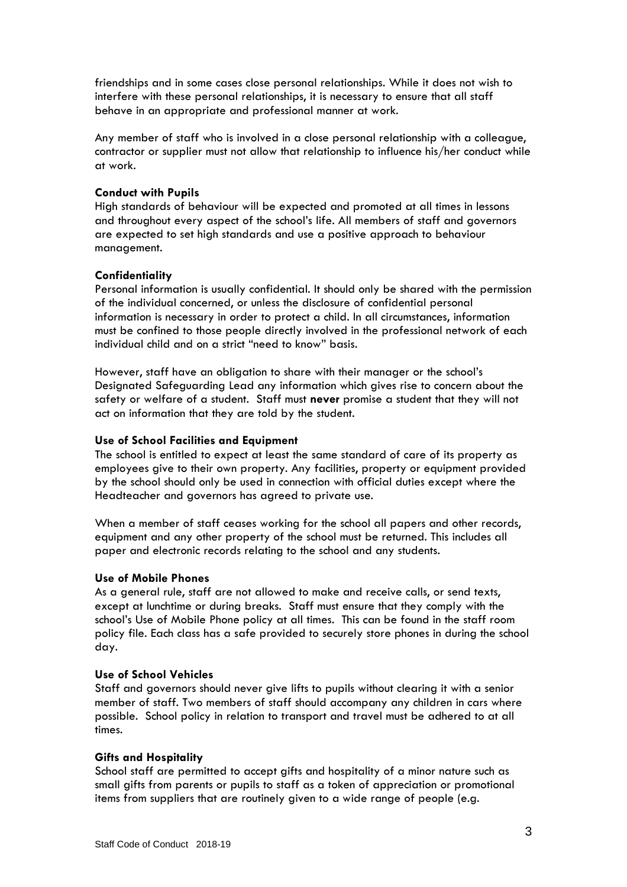friendships and in some cases close personal relationships. While it does not wish to interfere with these personal relationships, it is necessary to ensure that all staff behave in an appropriate and professional manner at work.

Any member of staff who is involved in a close personal relationship with a colleague, contractor or supplier must not allow that relationship to influence his/her conduct while at work.

# **Conduct with Pupils**

High standards of behaviour will be expected and promoted at all times in lessons and throughout every aspect of the school's life. All members of staff and governors are expected to set high standards and use a positive approach to behaviour management.

# **Confidentiality**

Personal information is usually confidential. It should only be shared with the permission of the individual concerned, or unless the disclosure of confidential personal information is necessary in order to protect a child. In all circumstances, information must be confined to those people directly involved in the professional network of each individual child and on a strict "need to know" basis.

However, staff have an obligation to share with their manager or the school's Designated Safeguarding Lead any information which gives rise to concern about the safety or welfare of a student. Staff must **never** promise a student that they will not act on information that they are told by the student.

# **Use of School Facilities and Equipment**

The school is entitled to expect at least the same standard of care of its property as employees give to their own property. Any facilities, property or equipment provided by the school should only be used in connection with official duties except where the Headteacher and governors has agreed to private use.

When a member of staff ceases working for the school all papers and other records, equipment and any other property of the school must be returned. This includes all paper and electronic records relating to the school and any students.

# **Use of Mobile Phones**

As a general rule, staff are not allowed to make and receive calls, or send texts, except at lunchtime or during breaks. Staff must ensure that they comply with the school's Use of Mobile Phone policy at all times. This can be found in the staff room policy file. Each class has a safe provided to securely store phones in during the school day.

# **Use of School Vehicles**

Staff and governors should never give lifts to pupils without clearing it with a senior member of staff. Two members of staff should accompany any children in cars where possible. School policy in relation to transport and travel must be adhered to at all times.

# **Gifts and Hospitality**

School staff are permitted to accept gifts and hospitality of a minor nature such as small gifts from parents or pupils to staff as a token of appreciation or promotional items from suppliers that are routinely given to a wide range of people (e.g.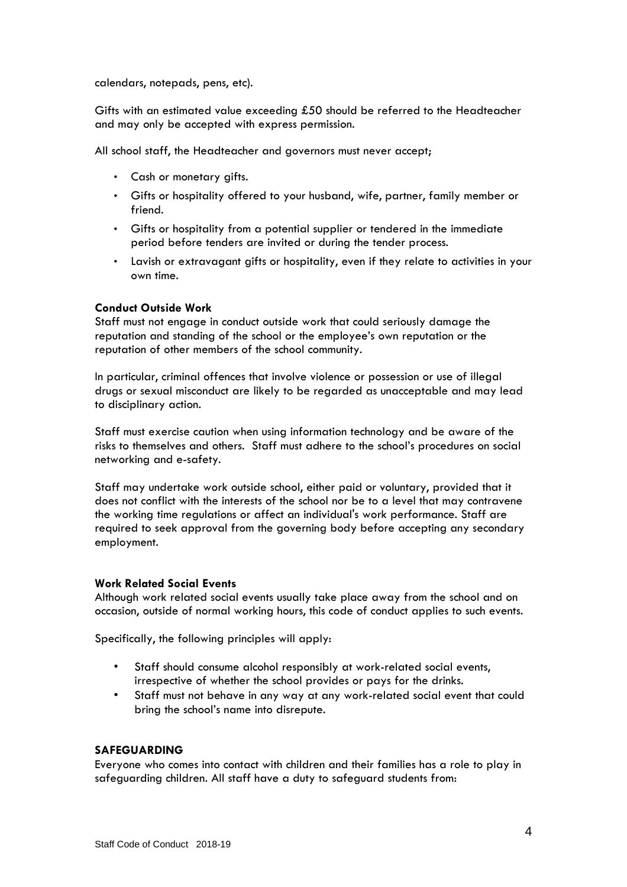calendars, notepads, pens, etc).

Gifts with an estimated value exceeding £50 should be referred to the Headteacher and may only be accepted with express permission.

All school staff, the Headteacher and governors must never accept;

- Cash or monetary gifts.
- Gifts or hospitality offered to your husband, wife, partner, family member or friend.
- Gifts or hospitality from a potential supplier or tendered in the immediate period before tenders are invited or during the tender process.
- Lavish or extravagant gifts or hospitality, even if they relate to activities in your own time.

# **Conduct Outside Work**

Staff must not engage in conduct outside work that could seriously damage the reputation and standing of the school or the employee's own reputation or the reputation of other members of the school community.

In particular, criminal offences that involve violence or possession or use of illegal drugs or sexual misconduct are likely to be regarded as unacceptable and may lead to disciplinary action.

Staff must exercise caution when using information technology and be aware of the risks to themselves and others. Staff must adhere to the school's procedures on social networking and e-safety.

Staff may undertake work outside school, either paid or voluntary, provided that it does not conflict with the interests of the school nor be to a level that may contravene the working time regulations or affect an individual's work performance. Staff are required to seek approval from the governing body before accepting any secondary employment.

#### **Work Related Social Events**

Although work related social events usually take place away from the school and on occasion, outside of normal working hours, this code of conduct applies to such events.

Specifically, the following principles will apply:

- Staff should consume alcohol responsibly at work-related social events, irrespective of whether the school provides or pays for the drinks.
- Staff must not behave in any way at any work-related social event that could bring the school's name into disrepute.

# **SAFEGUARDING**

Everyone who comes into contact with children and their families has a role to play in safeguarding children. All staff have a duty to safeguard students from: